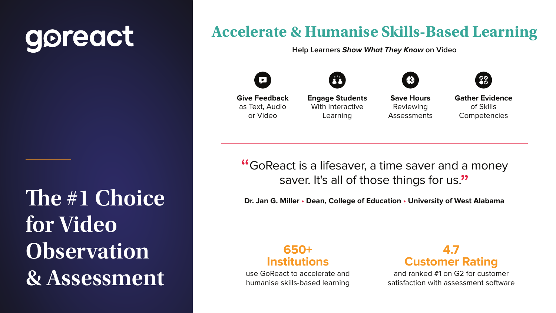### **4.7 Customer Rating**

and ranked #1 on G2 for customer satisfaction with assessment software





**650+ Institutions**

use GoReact to accelerate and humanise skills-based learning



**Save Hours** Reviewing **Assessments** 

"GoReact is a lifesaver, a time saver and a money saver. It's all of those things for us."

**Gather Evidence** of Skills **Competencies** 

**Dr. Jan G. Miller • Dean, College of Education • University of West Alabama**

# goreact

The #1 Choice **for Video Observation & Assessment**

### **Accelerate & Humanise Skills-Based Learning**

**Help Learners Show What They Know on Video**







**Give Feedback** as Text, Audio or Video

**Engage Students** With Interactive Learning